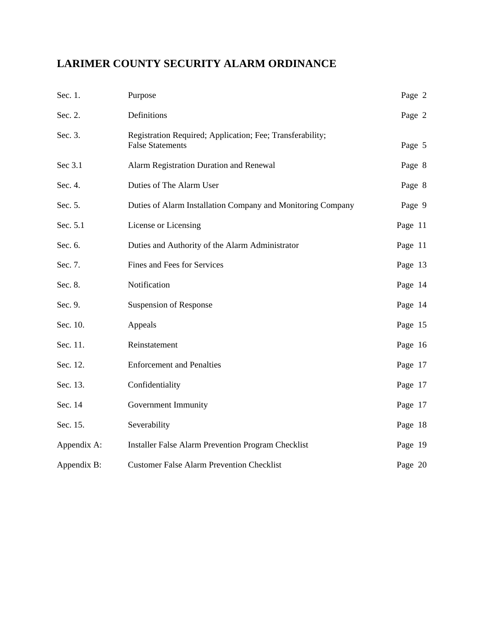# **LARIMER COUNTY SECURITY ALARM ORDINANCE**

| Sec. 1.     | Purpose                                                                              | Page 2  |
|-------------|--------------------------------------------------------------------------------------|---------|
| Sec. 2.     | Definitions                                                                          | Page 2  |
| Sec. 3.     | Registration Required; Application; Fee; Transferability;<br><b>False Statements</b> | Page 5  |
| Sec 3.1     | Alarm Registration Duration and Renewal                                              | Page 8  |
| Sec. 4.     | Duties of The Alarm User                                                             | Page 8  |
| Sec. 5.     | Duties of Alarm Installation Company and Monitoring Company                          | Page 9  |
| Sec. 5.1    | License or Licensing                                                                 | Page 11 |
| Sec. 6.     | Duties and Authority of the Alarm Administrator                                      | Page 11 |
| Sec. 7.     | Fines and Fees for Services                                                          | Page 13 |
| Sec. 8.     | Notification                                                                         | Page 14 |
| Sec. 9.     | Suspension of Response                                                               | Page 14 |
| Sec. 10.    | Appeals                                                                              | Page 15 |
| Sec. 11.    | Reinstatement                                                                        | Page 16 |
| Sec. 12.    | <b>Enforcement and Penalties</b>                                                     | Page 17 |
| Sec. 13.    | Confidentiality                                                                      | Page 17 |
| Sec. 14     | Government Immunity                                                                  | Page 17 |
| Sec. 15.    | Severability                                                                         | Page 18 |
| Appendix A: | Installer False Alarm Prevention Program Checklist                                   | Page 19 |
| Appendix B: | <b>Customer False Alarm Prevention Checklist</b>                                     | Page 20 |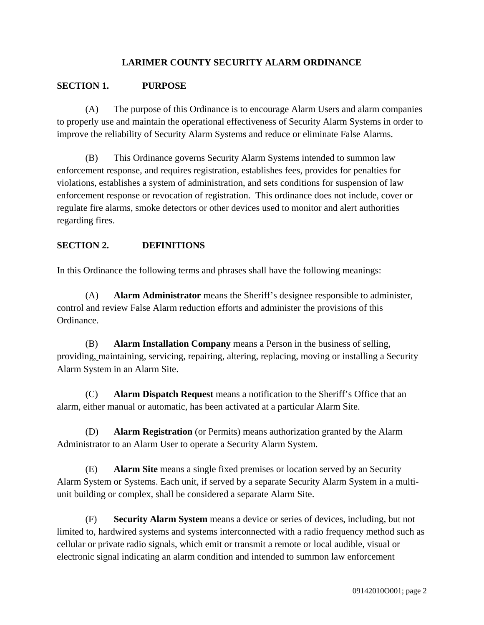## **LARIMER COUNTY SECURITY ALARM ORDINANCE**

#### **SECTION 1. PURPOSE**

(A) The purpose of this Ordinance is to encourage Alarm Users and alarm companies to properly use and maintain the operational effectiveness of Security Alarm Systems in order to improve the reliability of Security Alarm Systems and reduce or eliminate False Alarms.

(B) This Ordinance governs Security Alarm Systems intended to summon law enforcement response, and requires registration, establishes fees, provides for penalties for violations, establishes a system of administration, and sets conditions for suspension of law enforcement response or revocation of registration. This ordinance does not include, cover or regulate fire alarms, smoke detectors or other devices used to monitor and alert authorities regarding fires.

#### **SECTION 2. DEFINITIONS**

In this Ordinance the following terms and phrases shall have the following meanings:

(A) **Alarm Administrator** means the Sheriff's designee responsible to administer, control and review False Alarm reduction efforts and administer the provisions of this Ordinance.

(B) **Alarm Installation Company** means a Person in the business of selling, providing, maintaining, servicing, repairing, altering, replacing, moving or installing a Security Alarm System in an Alarm Site.

(C) **Alarm Dispatch Request** means a notification to the Sheriff's Office that an alarm, either manual or automatic, has been activated at a particular Alarm Site.

(D) **Alarm Registration** (or Permits) means authorization granted by the Alarm Administrator to an Alarm User to operate a Security Alarm System.

(E) **Alarm Site** means a single fixed premises or location served by an Security Alarm System or Systems. Each unit, if served by a separate Security Alarm System in a multiunit building or complex, shall be considered a separate Alarm Site.

(F) **Security Alarm System** means a device or series of devices, including, but not limited to, hardwired systems and systems interconnected with a radio frequency method such as cellular or private radio signals, which emit or transmit a remote or local audible, visual or electronic signal indicating an alarm condition and intended to summon law enforcement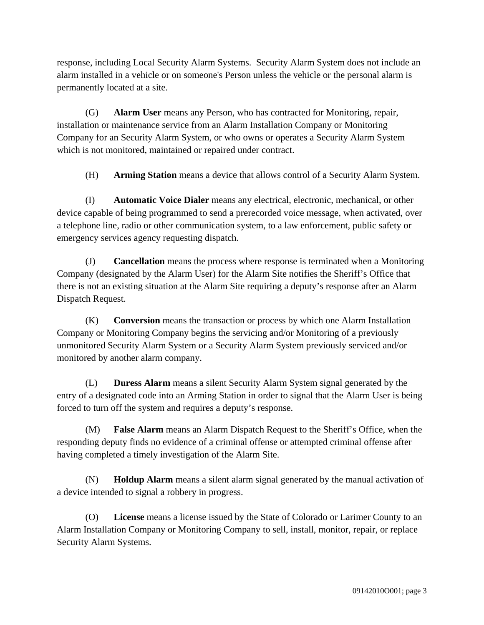response, including Local Security Alarm Systems. Security Alarm System does not include an alarm installed in a vehicle or on someone's Person unless the vehicle or the personal alarm is permanently located at a site.

(G) **Alarm User** means any Person, who has contracted for Monitoring, repair, installation or maintenance service from an Alarm Installation Company or Monitoring Company for an Security Alarm System, or who owns or operates a Security Alarm System which is not monitored, maintained or repaired under contract.

(H) **Arming Station** means a device that allows control of a Security Alarm System.

(I) **Automatic Voice Dialer** means any electrical, electronic, mechanical, or other device capable of being programmed to send a prerecorded voice message, when activated, over a telephone line, radio or other communication system, to a law enforcement, public safety or emergency services agency requesting dispatch.

(J) **Cancellation** means the process where response is terminated when a Monitoring Company (designated by the Alarm User) for the Alarm Site notifies the Sheriff's Office that there is not an existing situation at the Alarm Site requiring a deputy's response after an Alarm Dispatch Request.

(K) **Conversion** means the transaction or process by which one Alarm Installation Company or Monitoring Company begins the servicing and/or Monitoring of a previously unmonitored Security Alarm System or a Security Alarm System previously serviced and/or monitored by another alarm company.

(L) **Duress Alarm** means a silent Security Alarm System signal generated by the entry of a designated code into an Arming Station in order to signal that the Alarm User is being forced to turn off the system and requires a deputy's response.

(M) **False Alarm** means an Alarm Dispatch Request to the Sheriff's Office, when the responding deputy finds no evidence of a criminal offense or attempted criminal offense after having completed a timely investigation of the Alarm Site.

(N) **Holdup Alarm** means a silent alarm signal generated by the manual activation of a device intended to signal a robbery in progress.

(O) **License** means a license issued by the State of Colorado or Larimer County to an Alarm Installation Company or Monitoring Company to sell, install, monitor, repair, or replace Security Alarm Systems.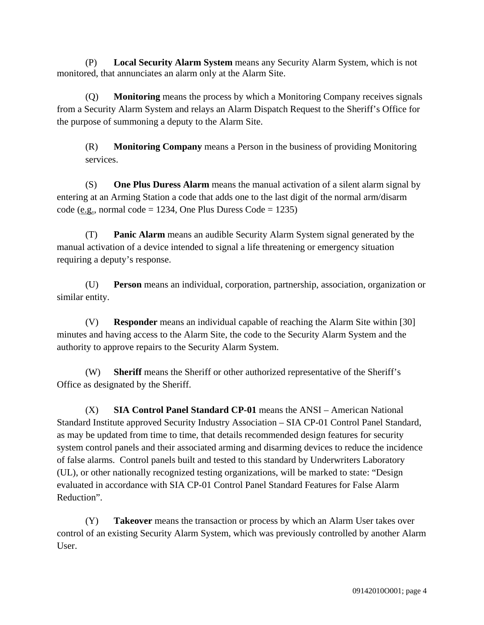(P) **Local Security Alarm System** means any Security Alarm System, which is not monitored, that annunciates an alarm only at the Alarm Site.

(Q) **Monitoring** means the process by which a Monitoring Company receives signals from a Security Alarm System and relays an Alarm Dispatch Request to the Sheriff's Office for the purpose of summoning a deputy to the Alarm Site.

(R) **Monitoring Company** means a Person in the business of providing Monitoring services.

(S) **One Plus Duress Alarm** means the manual activation of a silent alarm signal by entering at an Arming Station a code that adds one to the last digit of the normal arm/disarm code (e.g., normal code = 1234, One Plus Duress Code = 1235)

(T) **Panic Alarm** means an audible Security Alarm System signal generated by the manual activation of a device intended to signal a life threatening or emergency situation requiring a deputy's response.

(U) **Person** means an individual, corporation, partnership, association, organization or similar entity.

(V) **Responder** means an individual capable of reaching the Alarm Site within [30] minutes and having access to the Alarm Site, the code to the Security Alarm System and the authority to approve repairs to the Security Alarm System.

(W) **Sheriff** means the Sheriff or other authorized representative of the Sheriff's Office as designated by the Sheriff.

(X) **SIA Control Panel Standard CP-01** means the ANSI – American National Standard Institute approved Security Industry Association – SIA CP-01 Control Panel Standard, as may be updated from time to time, that details recommended design features for security system control panels and their associated arming and disarming devices to reduce the incidence of false alarms. Control panels built and tested to this standard by Underwriters Laboratory (UL), or other nationally recognized testing organizations, will be marked to state: "Design evaluated in accordance with SIA CP-01 Control Panel Standard Features for False Alarm Reduction".

(Y) **Takeover** means the transaction or process by which an Alarm User takes over control of an existing Security Alarm System, which was previously controlled by another Alarm User.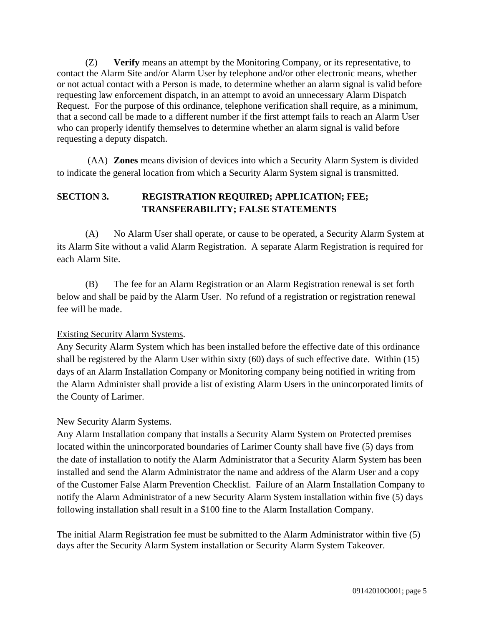(Z) **Verify** means an attempt by the Monitoring Company, or its representative, to contact the Alarm Site and/or Alarm User by telephone and/or other electronic means, whether or not actual contact with a Person is made, to determine whether an alarm signal is valid before requesting law enforcement dispatch, in an attempt to avoid an unnecessary Alarm Dispatch Request. For the purpose of this ordinance, telephone verification shall require, as a minimum, that a second call be made to a different number if the first attempt fails to reach an Alarm User who can properly identify themselves to determine whether an alarm signal is valid before requesting a deputy dispatch.

(AA) **Zones** means division of devices into which a Security Alarm System is divided to indicate the general location from which a Security Alarm System signal is transmitted.

## **SECTION 3. REGISTRATION REQUIRED; APPLICATION; FEE; TRANSFERABILITY; FALSE STATEMENTS**

(A) No Alarm User shall operate, or cause to be operated, a Security Alarm System at its Alarm Site without a valid Alarm Registration. A separate Alarm Registration is required for each Alarm Site.

(B) The fee for an Alarm Registration or an Alarm Registration renewal is set forth below and shall be paid by the Alarm User. No refund of a registration or registration renewal fee will be made.

## Existing Security Alarm Systems.

Any Security Alarm System which has been installed before the effective date of this ordinance shall be registered by the Alarm User within sixty (60) days of such effective date. Within (15) days of an Alarm Installation Company or Monitoring company being notified in writing from the Alarm Administer shall provide a list of existing Alarm Users in the unincorporated limits of the County of Larimer.

#### New Security Alarm Systems.

Any Alarm Installation company that installs a Security Alarm System on Protected premises located within the unincorporated boundaries of Larimer County shall have five (5) days from the date of installation to notify the Alarm Administrator that a Security Alarm System has been installed and send the Alarm Administrator the name and address of the Alarm User and a copy of the Customer False Alarm Prevention Checklist. Failure of an Alarm Installation Company to notify the Alarm Administrator of a new Security Alarm System installation within five (5) days following installation shall result in a \$100 fine to the Alarm Installation Company.

The initial Alarm Registration fee must be submitted to the Alarm Administrator within five (5) days after the Security Alarm System installation or Security Alarm System Takeover.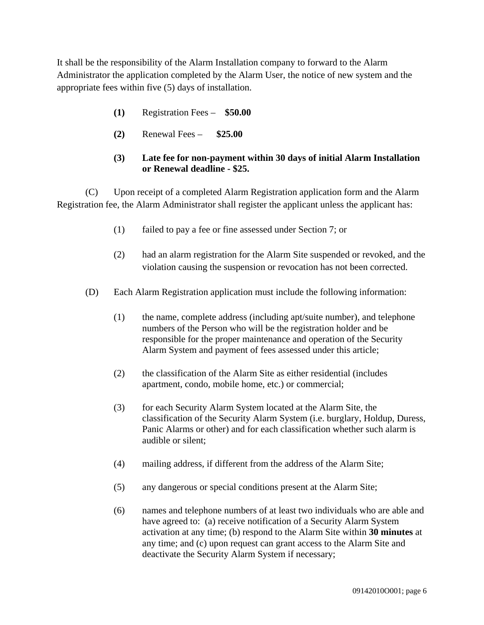It shall be the responsibility of the Alarm Installation company to forward to the Alarm Administrator the application completed by the Alarm User, the notice of new system and the appropriate fees within five (5) days of installation.

- **(1)** Registration Fees **\$50.00**
- **(2)** Renewal Fees **\$25.00**

#### **(3) Late fee for non-payment within 30 days of initial Alarm Installation or Renewal deadline - \$25.**

(C) Upon receipt of a completed Alarm Registration application form and the Alarm Registration fee, the Alarm Administrator shall register the applicant unless the applicant has:

- (1) failed to pay a fee or fine assessed under Section 7; or
- (2) had an alarm registration for the Alarm Site suspended or revoked, and the violation causing the suspension or revocation has not been corrected.
- (D) Each Alarm Registration application must include the following information:
	- (1) the name, complete address (including apt/suite number), and telephone numbers of the Person who will be the registration holder and be responsible for the proper maintenance and operation of the Security Alarm System and payment of fees assessed under this article;
	- (2) the classification of the Alarm Site as either residential (includes apartment, condo, mobile home, etc.) or commercial;
	- (3) for each Security Alarm System located at the Alarm Site, the classification of the Security Alarm System (i.e. burglary, Holdup, Duress, Panic Alarms or other) and for each classification whether such alarm is audible or silent;
	- (4) mailing address, if different from the address of the Alarm Site;
	- (5) any dangerous or special conditions present at the Alarm Site;
	- (6) names and telephone numbers of at least two individuals who are able and have agreed to: (a) receive notification of a Security Alarm System activation at any time; (b) respond to the Alarm Site within **30 minutes** at any time; and (c) upon request can grant access to the Alarm Site and deactivate the Security Alarm System if necessary;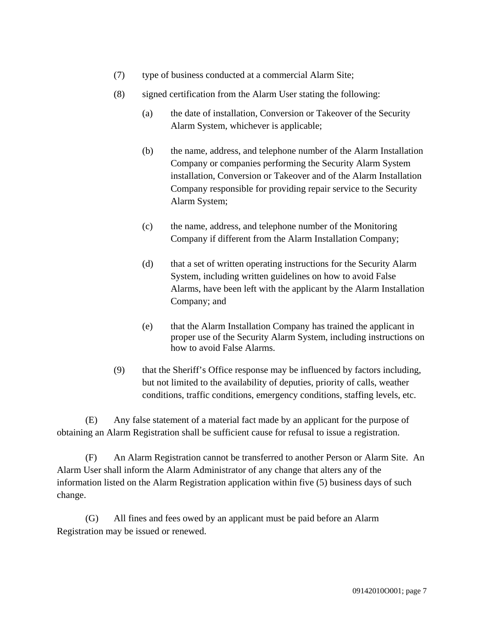- (7) type of business conducted at a commercial Alarm Site;
- (8) signed certification from the Alarm User stating the following:
	- (a) the date of installation, Conversion or Takeover of the Security Alarm System, whichever is applicable;
	- (b) the name, address, and telephone number of the Alarm Installation Company or companies performing the Security Alarm System installation, Conversion or Takeover and of the Alarm Installation Company responsible for providing repair service to the Security Alarm System;
	- (c) the name, address, and telephone number of the Monitoring Company if different from the Alarm Installation Company;
	- (d) that a set of written operating instructions for the Security Alarm System, including written guidelines on how to avoid False Alarms, have been left with the applicant by the Alarm Installation Company; and
	- (e) that the Alarm Installation Company has trained the applicant in proper use of the Security Alarm System, including instructions on how to avoid False Alarms.
- (9) that the Sheriff's Office response may be influenced by factors including, but not limited to the availability of deputies, priority of calls, weather conditions, traffic conditions, emergency conditions, staffing levels, etc.

(E) Any false statement of a material fact made by an applicant for the purpose of obtaining an Alarm Registration shall be sufficient cause for refusal to issue a registration.

(F) An Alarm Registration cannot be transferred to another Person or Alarm Site. An Alarm User shall inform the Alarm Administrator of any change that alters any of the information listed on the Alarm Registration application within five (5) business days of such change.

(G) All fines and fees owed by an applicant must be paid before an Alarm Registration may be issued or renewed.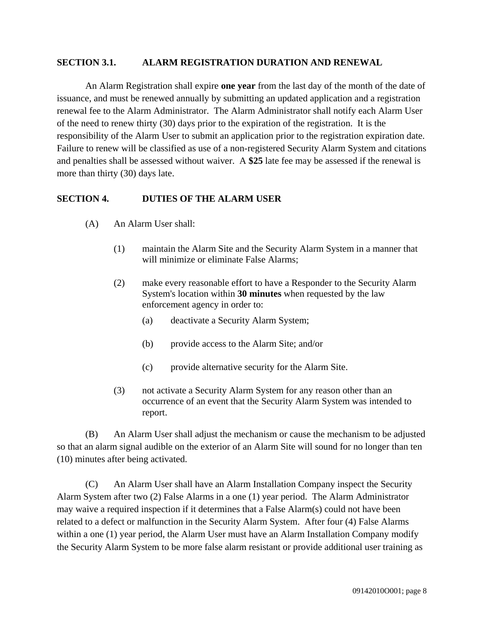#### **SECTION 3.1. ALARM REGISTRATION DURATION AND RENEWAL**

An Alarm Registration shall expire **one year** from the last day of the month of the date of issuance, and must be renewed annually by submitting an updated application and a registration renewal fee to the Alarm Administrator. The Alarm Administrator shall notify each Alarm User of the need to renew thirty (30) days prior to the expiration of the registration. It is the responsibility of the Alarm User to submit an application prior to the registration expiration date. Failure to renew will be classified as use of a non-registered Security Alarm System and citations and penalties shall be assessed without waiver. A **\$25** late fee may be assessed if the renewal is more than thirty (30) days late.

#### **SECTION 4. DUTIES OF THE ALARM USER**

- (A) An Alarm User shall:
	- (1) maintain the Alarm Site and the Security Alarm System in a manner that will minimize or eliminate False Alarms;
	- (2) make every reasonable effort to have a Responder to the Security Alarm System's location within **30 minutes** when requested by the law enforcement agency in order to:
		- (a) deactivate a Security Alarm System;
		- (b) provide access to the Alarm Site; and/or
		- (c) provide alternative security for the Alarm Site.
	- (3) not activate a Security Alarm System for any reason other than an occurrence of an event that the Security Alarm System was intended to report.

(B) An Alarm User shall adjust the mechanism or cause the mechanism to be adjusted so that an alarm signal audible on the exterior of an Alarm Site will sound for no longer than ten (10) minutes after being activated.

(C) An Alarm User shall have an Alarm Installation Company inspect the Security Alarm System after two (2) False Alarms in a one (1) year period. The Alarm Administrator may waive a required inspection if it determines that a False Alarm(s) could not have been related to a defect or malfunction in the Security Alarm System. After four (4) False Alarms within a one (1) year period, the Alarm User must have an Alarm Installation Company modify the Security Alarm System to be more false alarm resistant or provide additional user training as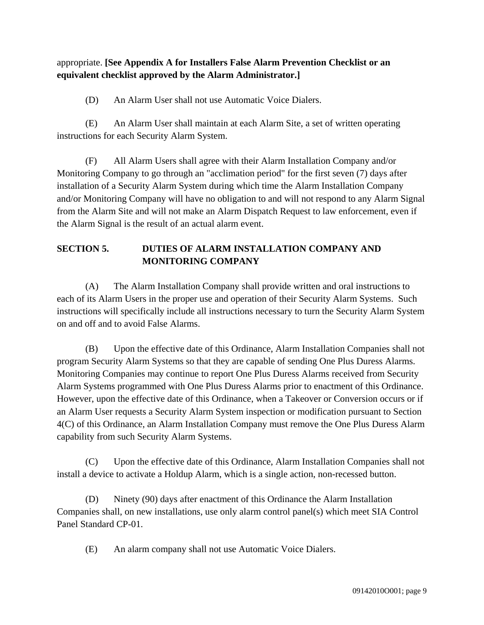appropriate. **[See Appendix A for Installers False Alarm Prevention Checklist or an equivalent checklist approved by the Alarm Administrator.]**

(D) An Alarm User shall not use Automatic Voice Dialers.

(E) An Alarm User shall maintain at each Alarm Site, a set of written operating instructions for each Security Alarm System.

(F) All Alarm Users shall agree with their Alarm Installation Company and/or Monitoring Company to go through an "acclimation period" for the first seven (7) days after installation of a Security Alarm System during which time the Alarm Installation Company and/or Monitoring Company will have no obligation to and will not respond to any Alarm Signal from the Alarm Site and will not make an Alarm Dispatch Request to law enforcement, even if the Alarm Signal is the result of an actual alarm event.

# **SECTION 5. DUTIES OF ALARM INSTALLATION COMPANY AND MONITORING COMPANY**

(A) The Alarm Installation Company shall provide written and oral instructions to each of its Alarm Users in the proper use and operation of their Security Alarm Systems. Such instructions will specifically include all instructions necessary to turn the Security Alarm System on and off and to avoid False Alarms.

(B) Upon the effective date of this Ordinance, Alarm Installation Companies shall not program Security Alarm Systems so that they are capable of sending One Plus Duress Alarms. Monitoring Companies may continue to report One Plus Duress Alarms received from Security Alarm Systems programmed with One Plus Duress Alarms prior to enactment of this Ordinance. However, upon the effective date of this Ordinance, when a Takeover or Conversion occurs or if an Alarm User requests a Security Alarm System inspection or modification pursuant to Section 4(C) of this Ordinance, an Alarm Installation Company must remove the One Plus Duress Alarm capability from such Security Alarm Systems.

(C) Upon the effective date of this Ordinance, Alarm Installation Companies shall not install a device to activate a Holdup Alarm, which is a single action, non-recessed button.

(D) Ninety (90) days after enactment of this Ordinance the Alarm Installation Companies shall, on new installations, use only alarm control panel(s) which meet SIA Control Panel Standard CP-01.

(E) An alarm company shall not use Automatic Voice Dialers.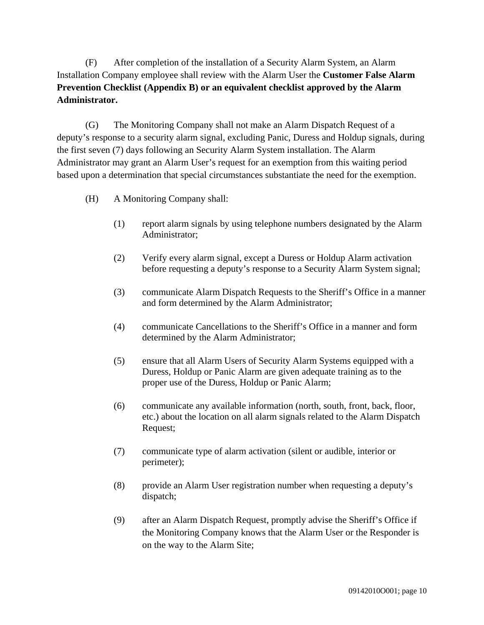(F) After completion of the installation of a Security Alarm System, an Alarm Installation Company employee shall review with the Alarm User the **Customer False Alarm Prevention Checklist (Appendix B) or an equivalent checklist approved by the Alarm Administrator.**

(G) The Monitoring Company shall not make an Alarm Dispatch Request of a deputy's response to a security alarm signal, excluding Panic, Duress and Holdup signals, during the first seven (7) days following an Security Alarm System installation. The Alarm Administrator may grant an Alarm User's request for an exemption from this waiting period based upon a determination that special circumstances substantiate the need for the exemption.

- (H) A Monitoring Company shall:
	- (1) report alarm signals by using telephone numbers designated by the Alarm Administrator;
	- (2) Verify every alarm signal, except a Duress or Holdup Alarm activation before requesting a deputy's response to a Security Alarm System signal;
	- (3) communicate Alarm Dispatch Requests to the Sheriff's Office in a manner and form determined by the Alarm Administrator;
	- (4) communicate Cancellations to the Sheriff's Office in a manner and form determined by the Alarm Administrator;
	- (5) ensure that all Alarm Users of Security Alarm Systems equipped with a Duress, Holdup or Panic Alarm are given adequate training as to the proper use of the Duress, Holdup or Panic Alarm;
	- (6) communicate any available information (north, south, front, back, floor, etc.) about the location on all alarm signals related to the Alarm Dispatch Request;
	- (7) communicate type of alarm activation (silent or audible, interior or perimeter);
	- (8) provide an Alarm User registration number when requesting a deputy's dispatch;
	- (9) after an Alarm Dispatch Request, promptly advise the Sheriff's Office if the Monitoring Company knows that the Alarm User or the Responder is on the way to the Alarm Site;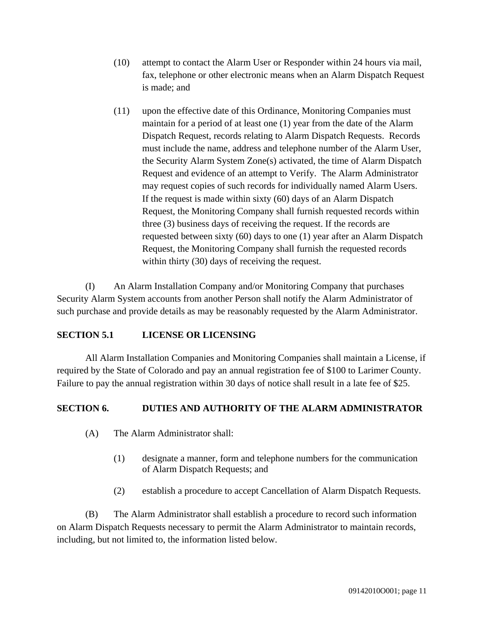- (10) attempt to contact the Alarm User or Responder within 24 hours via mail, fax, telephone or other electronic means when an Alarm Dispatch Request is made; and
- (11) upon the effective date of this Ordinance, Monitoring Companies must maintain for a period of at least one (1) year from the date of the Alarm Dispatch Request, records relating to Alarm Dispatch Requests. Records must include the name, address and telephone number of the Alarm User, the Security Alarm System Zone(s) activated, the time of Alarm Dispatch Request and evidence of an attempt to Verify. The Alarm Administrator may request copies of such records for individually named Alarm Users. If the request is made within sixty (60) days of an Alarm Dispatch Request, the Monitoring Company shall furnish requested records within three (3) business days of receiving the request. If the records are requested between sixty (60) days to one (1) year after an Alarm Dispatch Request, the Monitoring Company shall furnish the requested records within thirty (30) days of receiving the request.

(I) An Alarm Installation Company and/or Monitoring Company that purchases Security Alarm System accounts from another Person shall notify the Alarm Administrator of such purchase and provide details as may be reasonably requested by the Alarm Administrator.

## **SECTION 5.1 LICENSE OR LICENSING**

All Alarm Installation Companies and Monitoring Companies shall maintain a License, if required by the State of Colorado and pay an annual registration fee of \$100 to Larimer County. Failure to pay the annual registration within 30 days of notice shall result in a late fee of \$25.

## **SECTION 6. DUTIES AND AUTHORITY OF THE ALARM ADMINISTRATOR**

- (A) The Alarm Administrator shall:
	- (1) designate a manner, form and telephone numbers for the communication of Alarm Dispatch Requests; and
	- (2) establish a procedure to accept Cancellation of Alarm Dispatch Requests.

(B) The Alarm Administrator shall establish a procedure to record such information on Alarm Dispatch Requests necessary to permit the Alarm Administrator to maintain records, including, but not limited to, the information listed below.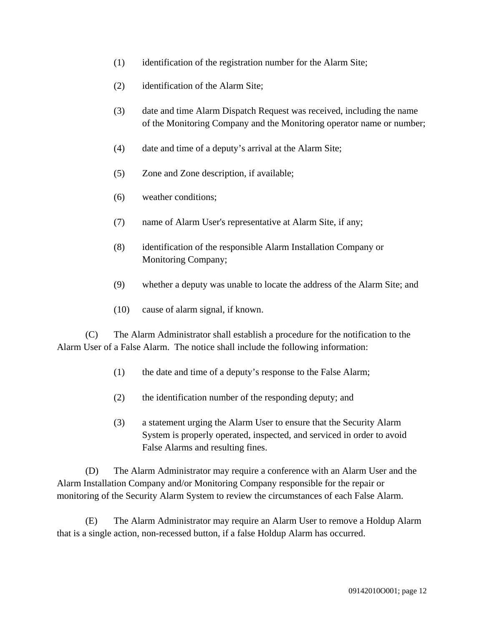- (1) identification of the registration number for the Alarm Site;
- (2) identification of the Alarm Site;
- (3) date and time Alarm Dispatch Request was received, including the name of the Monitoring Company and the Monitoring operator name or number;
- (4) date and time of a deputy's arrival at the Alarm Site;
- (5) Zone and Zone description, if available;
- (6) weather conditions;
- (7) name of Alarm User's representative at Alarm Site, if any;
- (8) identification of the responsible Alarm Installation Company or Monitoring Company;
- (9) whether a deputy was unable to locate the address of the Alarm Site; and
- (10) cause of alarm signal, if known.

(C) The Alarm Administrator shall establish a procedure for the notification to the Alarm User of a False Alarm. The notice shall include the following information:

- (1) the date and time of a deputy's response to the False Alarm;
- (2) the identification number of the responding deputy; and
- (3) a statement urging the Alarm User to ensure that the Security Alarm System is properly operated, inspected, and serviced in order to avoid False Alarms and resulting fines.

(D) The Alarm Administrator may require a conference with an Alarm User and the Alarm Installation Company and/or Monitoring Company responsible for the repair or monitoring of the Security Alarm System to review the circumstances of each False Alarm.

(E) The Alarm Administrator may require an Alarm User to remove a Holdup Alarm that is a single action, non-recessed button, if a false Holdup Alarm has occurred.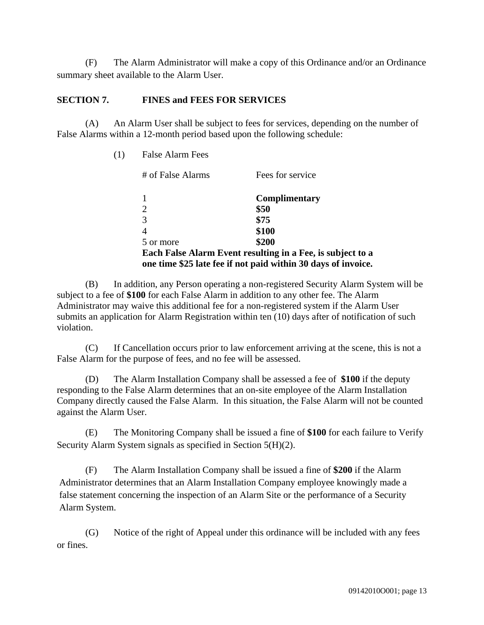(F) The Alarm Administrator will make a copy of this Ordinance and/or an Ordinance summary sheet available to the Alarm User.

#### **SECTION 7. FINES and FEES FOR SERVICES**

(A) An Alarm User shall be subject to fees for services, depending on the number of False Alarms within a 12-month period based upon the following schedule:

| (1) | <b>False Alarm Fees</b> |                                                               |
|-----|-------------------------|---------------------------------------------------------------|
|     | # of False Alarms       | Fees for service                                              |
|     |                         | Complimentary                                                 |
|     | 2                       | \$50                                                          |
|     | 3                       | \$75                                                          |
|     | 4                       | \$100                                                         |
|     | 5 or more               | \$200                                                         |
|     |                         | Each False Alarm Event resulting in a Fee, is subject to a    |
|     |                         | one time \$25 late fee if not paid within 30 days of invoice. |

(B) In addition, any Person operating a non-registered Security Alarm System will be subject to a fee of **\$100** for each False Alarm in addition to any other fee. The Alarm Administrator may waive this additional fee for a non-registered system if the Alarm User submits an application for Alarm Registration within ten (10) days after of notification of such violation.

(C) If Cancellation occurs prior to law enforcement arriving at the scene, this is not a False Alarm for the purpose of fees, and no fee will be assessed.

(D) The Alarm Installation Company shall be assessed a fee of **\$100** if the deputy responding to the False Alarm determines that an on-site employee of the Alarm Installation Company directly caused the False Alarm. In this situation, the False Alarm will not be counted against the Alarm User.

(E) The Monitoring Company shall be issued a fine of **\$100** for each failure to Verify Security Alarm System signals as specified in Section 5(H)(2).

(F) The Alarm Installation Company shall be issued a fine of **\$200** if the Alarm Administrator determines that an Alarm Installation Company employee knowingly made a false statement concerning the inspection of an Alarm Site or the performance of a Security Alarm System.

(G) Notice of the right of Appeal under this ordinance will be included with any fees or fines.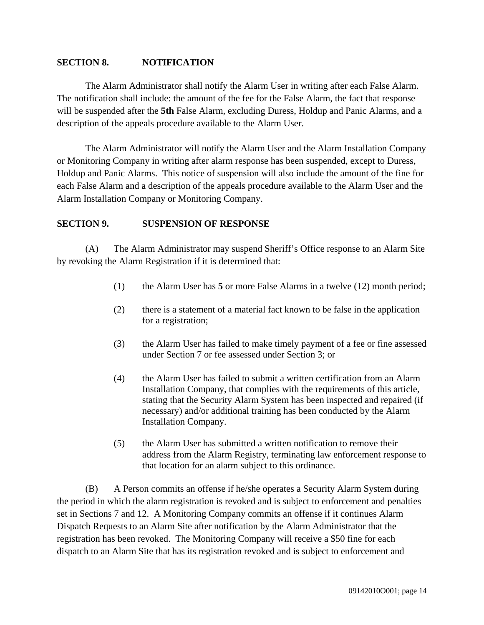#### **SECTION 8. NOTIFICATION**

The Alarm Administrator shall notify the Alarm User in writing after each False Alarm. The notification shall include: the amount of the fee for the False Alarm, the fact that response will be suspended after the **5th** False Alarm, excluding Duress, Holdup and Panic Alarms, and a description of the appeals procedure available to the Alarm User.

The Alarm Administrator will notify the Alarm User and the Alarm Installation Company or Monitoring Company in writing after alarm response has been suspended, except to Duress, Holdup and Panic Alarms. This notice of suspension will also include the amount of the fine for each False Alarm and a description of the appeals procedure available to the Alarm User and the Alarm Installation Company or Monitoring Company.

#### **SECTION 9. SUSPENSION OF RESPONSE**

(A) The Alarm Administrator may suspend Sheriff's Office response to an Alarm Site by revoking the Alarm Registration if it is determined that:

- (1) the Alarm User has **5** or more False Alarms in a twelve (12) month period;
- (2) there is a statement of a material fact known to be false in the application for a registration;
- (3) the Alarm User has failed to make timely payment of a fee or fine assessed under Section 7 or fee assessed under Section 3; or
- (4) the Alarm User has failed to submit a written certification from an Alarm Installation Company, that complies with the requirements of this article, stating that the Security Alarm System has been inspected and repaired (if necessary) and/or additional training has been conducted by the Alarm Installation Company.
- (5) the Alarm User has submitted a written notification to remove their address from the Alarm Registry, terminating law enforcement response to that location for an alarm subject to this ordinance.

(B) A Person commits an offense if he/she operates a Security Alarm System during the period in which the alarm registration is revoked and is subject to enforcement and penalties set in Sections 7 and 12. A Monitoring Company commits an offense if it continues Alarm Dispatch Requests to an Alarm Site after notification by the Alarm Administrator that the registration has been revoked. The Monitoring Company will receive a \$50 fine for each dispatch to an Alarm Site that has its registration revoked and is subject to enforcement and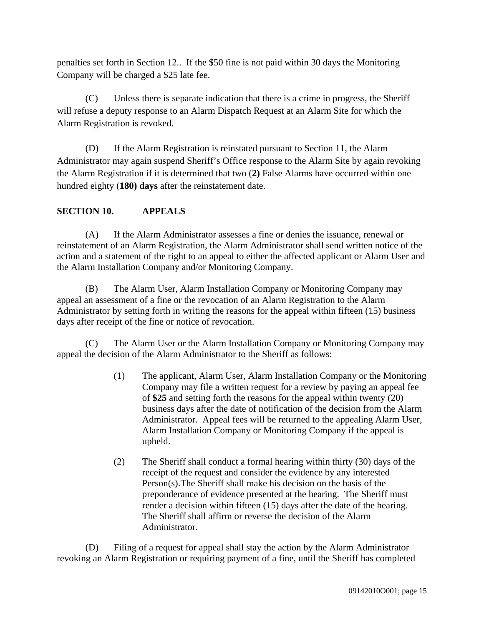penalties set forth in Section 12.. If the \$50 fine is not paid within 30 days the Monitoring Company will be charged a \$25 late fee.

(C) Unless there is separate indication that there is a crime in progress, the Sheriff will refuse a deputy response to an Alarm Dispatch Request at an Alarm Site for which the Alarm Registration is revoked.

(D) If the Alarm Registration is reinstated pursuant to Section 11, the Alarm Administrator may again suspend Sheriff's Office response to the Alarm Site by again revoking the Alarm Registration if it is determined that two (**2)** False Alarms have occurred within one hundred eighty (**180) days** after the reinstatement date.

## **SECTION 10. APPEALS**

(A) If the Alarm Administrator assesses a fine or denies the issuance, renewal or reinstatement of an Alarm Registration, the Alarm Administrator shall send written notice of the action and a statement of the right to an appeal to either the affected applicant or Alarm User and the Alarm Installation Company and/or Monitoring Company.

(B) The Alarm User, Alarm Installation Company or Monitoring Company may appeal an assessment of a fine or the revocation of an Alarm Registration to the Alarm Administrator by setting forth in writing the reasons for the appeal within fifteen (15) business days after receipt of the fine or notice of revocation.

(C) The Alarm User or the Alarm Installation Company or Monitoring Company may appeal the decision of the Alarm Administrator to the Sheriff as follows:

- (1) The applicant, Alarm User, Alarm Installation Company or the Monitoring Company may file a written request for a review by paying an appeal fee of **\$25** and setting forth the reasons for the appeal within twenty (20) business days after the date of notification of the decision from the Alarm Administrator. Appeal fees will be returned to the appealing Alarm User, Alarm Installation Company or Monitoring Company if the appeal is upheld.
- (2) The Sheriff shall conduct a formal hearing within thirty (30) days of the receipt of the request and consider the evidence by any interested Person(s).The Sheriff shall make his decision on the basis of the preponderance of evidence presented at the hearing. The Sheriff must render a decision within fifteen (15) days after the date of the hearing. The Sheriff shall affirm or reverse the decision of the Alarm Administrator.

(D) Filing of a request for appeal shall stay the action by the Alarm Administrator revoking an Alarm Registration or requiring payment of a fine, until the Sheriff has completed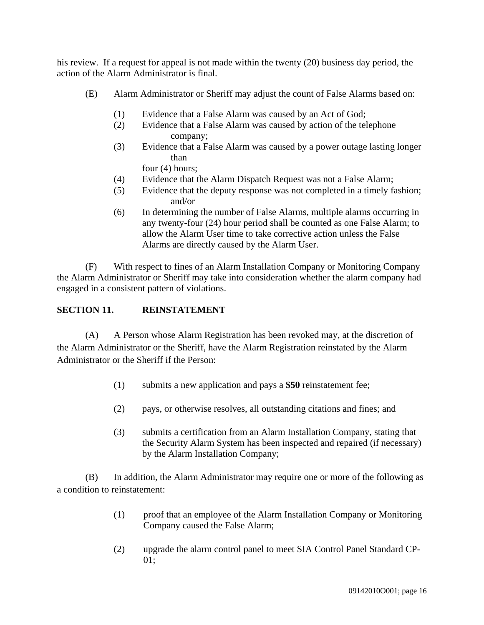his review. If a request for appeal is not made within the twenty (20) business day period, the action of the Alarm Administrator is final.

- (E) Alarm Administrator or Sheriff may adjust the count of False Alarms based on:
	- (1) Evidence that a False Alarm was caused by an Act of God;
	- (2) Evidence that a False Alarm was caused by action of the telephone company;
	- (3) Evidence that a False Alarm was caused by a power outage lasting longer than

four (4) hours;

- (4) Evidence that the Alarm Dispatch Request was not a False Alarm;
- (5) Evidence that the deputy response was not completed in a timely fashion; and/or
- (6) In determining the number of False Alarms, multiple alarms occurring in any twenty-four (24) hour period shall be counted as one False Alarm; to allow the Alarm User time to take corrective action unless the False Alarms are directly caused by the Alarm User.

(F) With respect to fines of an Alarm Installation Company or Monitoring Company the Alarm Administrator or Sheriff may take into consideration whether the alarm company had engaged in a consistent pattern of violations.

## **SECTION 11. REINSTATEMENT**

(A) A Person whose Alarm Registration has been revoked may, at the discretion of the Alarm Administrator or the Sheriff, have the Alarm Registration reinstated by the Alarm Administrator or the Sheriff if the Person:

- (1) submits a new application and pays a **\$50** reinstatement fee;
- (2) pays, or otherwise resolves, all outstanding citations and fines; and
- (3) submits a certification from an Alarm Installation Company, stating that the Security Alarm System has been inspected and repaired (if necessary) by the Alarm Installation Company;

(B) In addition, the Alarm Administrator may require one or more of the following as a condition to reinstatement:

- (1) proof that an employee of the Alarm Installation Company or Monitoring Company caused the False Alarm;
- (2) upgrade the alarm control panel to meet SIA Control Panel Standard CP-01;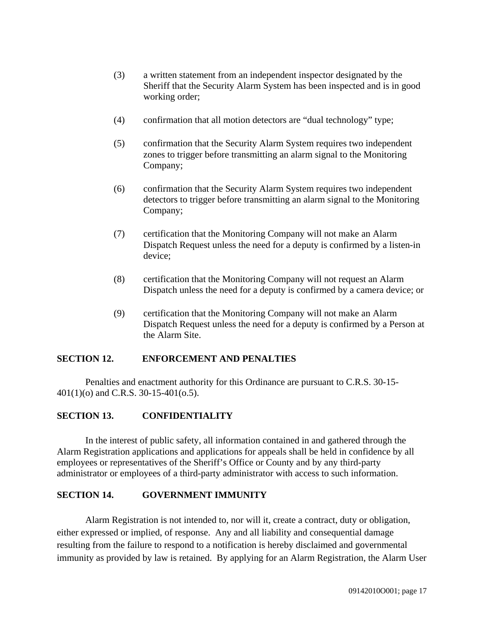- (3) a written statement from an independent inspector designated by the Sheriff that the Security Alarm System has been inspected and is in good working order;
- (4) confirmation that all motion detectors are "dual technology" type;
- (5) confirmation that the Security Alarm System requires two independent zones to trigger before transmitting an alarm signal to the Monitoring Company;
- (6) confirmation that the Security Alarm System requires two independent detectors to trigger before transmitting an alarm signal to the Monitoring Company;
- (7) certification that the Monitoring Company will not make an Alarm Dispatch Request unless the need for a deputy is confirmed by a listen-in device;
- (8) certification that the Monitoring Company will not request an Alarm Dispatch unless the need for a deputy is confirmed by a camera device; or
- (9) certification that the Monitoring Company will not make an Alarm Dispatch Request unless the need for a deputy is confirmed by a Person at the Alarm Site.

## **SECTION 12. ENFORCEMENT AND PENALTIES**

Penalties and enactment authority for this Ordinance are pursuant to C.R.S. 30-15- 401(1)(o) and C.R.S. 30-15-401(o.5).

## **SECTION 13. CONFIDENTIALITY**

In the interest of public safety, all information contained in and gathered through the Alarm Registration applications and applications for appeals shall be held in confidence by all employees or representatives of the Sheriff's Office or County and by any third-party administrator or employees of a third-party administrator with access to such information.

#### **SECTION 14. GOVERNMENT IMMUNITY**

Alarm Registration is not intended to, nor will it, create a contract, duty or obligation, either expressed or implied, of response. Any and all liability and consequential damage resulting from the failure to respond to a notification is hereby disclaimed and governmental immunity as provided by law is retained. By applying for an Alarm Registration, the Alarm User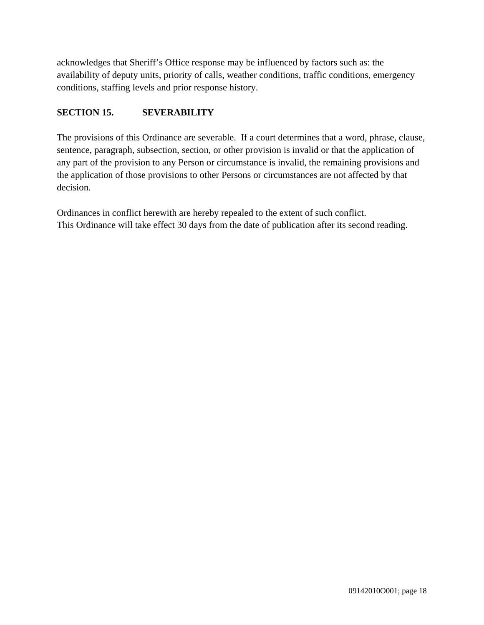acknowledges that Sheriff's Office response may be influenced by factors such as: the availability of deputy units, priority of calls, weather conditions, traffic conditions, emergency conditions, staffing levels and prior response history.

## **SECTION 15. SEVERABILITY**

The provisions of this Ordinance are severable. If a court determines that a word, phrase, clause, sentence, paragraph, subsection, section, or other provision is invalid or that the application of any part of the provision to any Person or circumstance is invalid, the remaining provisions and the application of those provisions to other Persons or circumstances are not affected by that decision.

Ordinances in conflict herewith are hereby repealed to the extent of such conflict. This Ordinance will take effect 30 days from the date of publication after its second reading.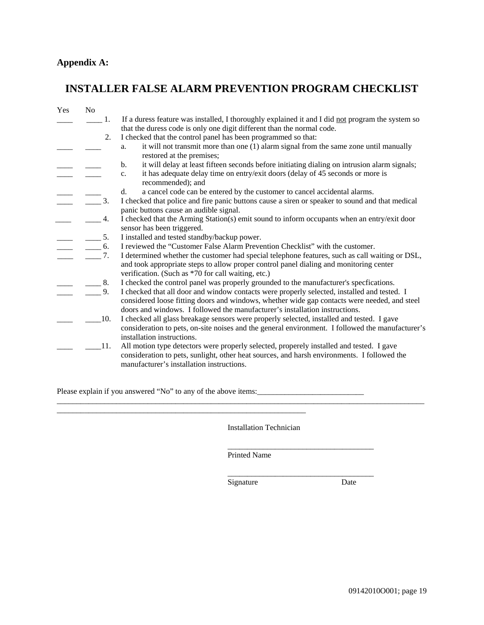# **Appendix A:**

# **INSTALLER FALSE ALARM PREVENTION PROGRAM CHECKLIST**

| Yes | No                                                                                                                                                                                                                                                                                                                                                                                                                              |                                                                                                                                                                                                                                                                            |
|-----|---------------------------------------------------------------------------------------------------------------------------------------------------------------------------------------------------------------------------------------------------------------------------------------------------------------------------------------------------------------------------------------------------------------------------------|----------------------------------------------------------------------------------------------------------------------------------------------------------------------------------------------------------------------------------------------------------------------------|
|     | -1.                                                                                                                                                                                                                                                                                                                                                                                                                             | If a duress feature was installed, I thoroughly explained it and I did not program the system so                                                                                                                                                                           |
|     |                                                                                                                                                                                                                                                                                                                                                                                                                                 | that the duress code is only one digit different than the normal code.                                                                                                                                                                                                     |
|     | 2.                                                                                                                                                                                                                                                                                                                                                                                                                              | I checked that the control panel has been programmed so that:                                                                                                                                                                                                              |
|     |                                                                                                                                                                                                                                                                                                                                                                                                                                 | it will not transmit more than one (1) alarm signal from the same zone until manually<br>a.<br>restored at the premises;                                                                                                                                                   |
|     |                                                                                                                                                                                                                                                                                                                                                                                                                                 | it will delay at least fifteen seconds before initiating dialing on intrusion alarm signals;<br>b.                                                                                                                                                                         |
|     |                                                                                                                                                                                                                                                                                                                                                                                                                                 | it has adequate delay time on entry/exit doors (delay of 45 seconds or more is<br>$c_{\cdot}$<br>recommended); and                                                                                                                                                         |
|     |                                                                                                                                                                                                                                                                                                                                                                                                                                 | a cancel code can be entered by the customer to cancel accidental alarms.<br>d.                                                                                                                                                                                            |
|     | $\overline{3}$ .                                                                                                                                                                                                                                                                                                                                                                                                                | I checked that police and fire panic buttons cause a siren or speaker to sound and that medical<br>panic buttons cause an audible signal.                                                                                                                                  |
|     | 4.                                                                                                                                                                                                                                                                                                                                                                                                                              | I checked that the Arming Station(s) emit sound to inform occupants when an entry/exit door                                                                                                                                                                                |
|     |                                                                                                                                                                                                                                                                                                                                                                                                                                 | sensor has been triggered.                                                                                                                                                                                                                                                 |
|     | $\frac{1}{\sqrt{2}}$ $\frac{5}{\sqrt{2}}$                                                                                                                                                                                                                                                                                                                                                                                       | I installed and tested standby/backup power.                                                                                                                                                                                                                               |
|     | $\frac{1}{\sqrt{1-\frac{1}{2}}}\frac{1}{\sqrt{1-\frac{1}{2}}}\frac{1}{\sqrt{1-\frac{1}{2}}}\frac{1}{\sqrt{1-\frac{1}{2}}}\frac{1}{\sqrt{1-\frac{1}{2}}}\frac{1}{\sqrt{1-\frac{1}{2}}}\frac{1}{\sqrt{1-\frac{1}{2}}}\frac{1}{\sqrt{1-\frac{1}{2}}}\frac{1}{\sqrt{1-\frac{1}{2}}}\frac{1}{\sqrt{1-\frac{1}{2}}}\frac{1}{\sqrt{1-\frac{1}{2}}}\frac{1}{\sqrt{1-\frac{1}{2}}}\frac{1}{\sqrt{1-\frac{1}{2}}}\frac{1}{\sqrt{1-\frac{$ | I reviewed the "Customer False Alarm Prevention Checklist" with the customer.                                                                                                                                                                                              |
|     | 7.                                                                                                                                                                                                                                                                                                                                                                                                                              | I determined whether the customer had special telephone features, such as call waiting or DSL,<br>and took appropriate steps to allow proper control panel dialing and monitoring center<br>verification. (Such as *70 for call waiting, etc.)                             |
|     | 8.                                                                                                                                                                                                                                                                                                                                                                                                                              | I checked the control panel was properly grounded to the manufacturer's specfications.                                                                                                                                                                                     |
|     | 9.                                                                                                                                                                                                                                                                                                                                                                                                                              | I checked that all door and window contacts were properly selected, installed and tested. I<br>considered loose fitting doors and windows, whether wide gap contacts were needed, and steel<br>doors and windows. I followed the manufacturer's installation instructions. |
|     | 10.                                                                                                                                                                                                                                                                                                                                                                                                                             | I checked all glass breakage sensors were properly selected, installed and tested. I gave<br>consideration to pets, on-site noises and the general environment. I followed the manufacturer's<br>installation instructions.                                                |
|     | 11.                                                                                                                                                                                                                                                                                                                                                                                                                             | All motion type detectors were properly selected, properely installed and tested. I gave<br>consideration to pets, sunlight, other heat sources, and harsh environments. I followed the<br>manufacturer's installation instructions.                                       |

Please explain if you answered "No" to any of the above items:

\_\_\_\_\_\_\_\_\_\_\_\_\_\_\_\_\_\_\_\_\_\_\_\_\_\_\_\_\_\_\_\_\_\_\_\_\_\_\_\_\_\_\_\_\_\_\_\_\_\_\_\_\_\_\_\_\_\_\_\_\_\_\_

Installation Technician

\_\_\_\_\_\_\_\_\_\_\_\_\_\_\_\_\_\_\_\_\_\_\_\_\_\_\_\_\_\_\_\_\_\_\_\_\_

Printed Name

\_\_\_\_\_\_\_\_\_\_\_\_\_\_\_\_\_\_\_\_\_\_\_\_\_\_\_\_\_\_\_\_\_\_\_\_\_\_\_\_\_\_\_\_\_\_\_\_\_\_\_\_\_\_\_\_\_\_\_\_\_\_\_\_\_\_\_\_\_\_\_\_\_\_\_\_\_\_\_\_\_\_\_\_\_\_\_\_\_\_\_\_\_

\_\_\_\_\_\_\_\_\_\_\_\_\_\_\_\_\_\_\_\_\_\_\_\_\_\_\_\_\_\_\_\_\_\_\_\_\_ Signature Date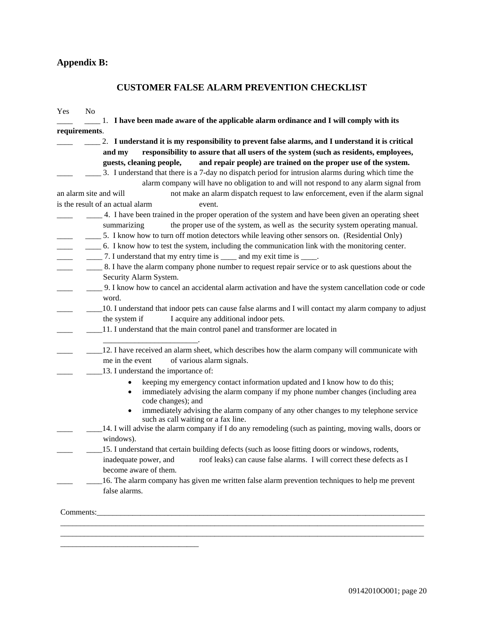# **Appendix B:**

## **CUSTOMER FALSE ALARM PREVENTION CHECKLIST**

| No<br>Yes              |                                                                                                                                                                                                                                                                                                       |
|------------------------|-------------------------------------------------------------------------------------------------------------------------------------------------------------------------------------------------------------------------------------------------------------------------------------------------------|
|                        | 1. I have been made aware of the applicable alarm ordinance and I will comply with its                                                                                                                                                                                                                |
| requirements.          |                                                                                                                                                                                                                                                                                                       |
|                        | 2. I understand it is my responsibility to prevent false alarms, and I understand it is critical                                                                                                                                                                                                      |
|                        | responsibility to assure that all users of the system (such as residents, employees,<br>and my                                                                                                                                                                                                        |
|                        | guests, cleaning people,<br>and repair people) are trained on the proper use of the system.                                                                                                                                                                                                           |
|                        | 3. I understand that there is a 7-day no dispatch period for intrusion alarms during which time the                                                                                                                                                                                                   |
|                        | alarm company will have no obligation to and will not respond to any alarm signal from                                                                                                                                                                                                                |
| an alarm site and will | not make an alarm dispatch request to law enforcement, even if the alarm signal                                                                                                                                                                                                                       |
|                        | is the result of an actual alarm<br>event.                                                                                                                                                                                                                                                            |
|                        | 4. I have been trained in the proper operation of the system and have been given an operating sheet<br>the proper use of the system, as well as the security system operating manual.<br>summarizing<br>5. I know how to turn off motion detectors while leaving other sensors on. (Residential Only) |
|                        | 6. I know how to test the system, including the communication link with the monitoring center.<br>_______ 7. I understand that my entry time is ______ and my exit time is _____.                                                                                                                     |
|                        | 8. I have the alarm company phone number to request repair service or to ask questions about the<br>Security Alarm System.                                                                                                                                                                            |
|                        | 9. I know how to cancel an accidental alarm activation and have the system cancellation code or code<br>word.                                                                                                                                                                                         |
|                        | 10. I understand that indoor pets can cause false alarms and I will contact my alarm company to adjust<br>I acquire any additional indoor pets.<br>the system if                                                                                                                                      |
|                        | 11. I understand that the main control panel and transformer are located in                                                                                                                                                                                                                           |
|                        | 12. I have received an alarm sheet, which describes how the alarm company will communicate with<br>of various alarm signals.<br>me in the event                                                                                                                                                       |
|                        | 13. I understand the importance of:                                                                                                                                                                                                                                                                   |
|                        | keeping my emergency contact information updated and I know how to do this;<br>immediately advising the alarm company if my phone number changes (including area<br>$\bullet$<br>code changes); and                                                                                                   |
|                        | immediately advising the alarm company of any other changes to my telephone service<br>$\bullet$<br>such as call waiting or a fax line.                                                                                                                                                               |
|                        | 14. I will advise the alarm company if I do any remodeling (such as painting, moving walls, doors or<br>windows).                                                                                                                                                                                     |
|                        | 15. I understand that certain building defects (such as loose fitting doors or windows, rodents,                                                                                                                                                                                                      |
|                        | inadequate power, and roof leaks) can cause false alarms. I will correct these defects as I<br>become aware of them.                                                                                                                                                                                  |
|                        | 16. The alarm company has given me written false alarm prevention techniques to help me prevent<br>false alarms.                                                                                                                                                                                      |
|                        |                                                                                                                                                                                                                                                                                                       |
|                        |                                                                                                                                                                                                                                                                                                       |
|                        |                                                                                                                                                                                                                                                                                                       |
|                        |                                                                                                                                                                                                                                                                                                       |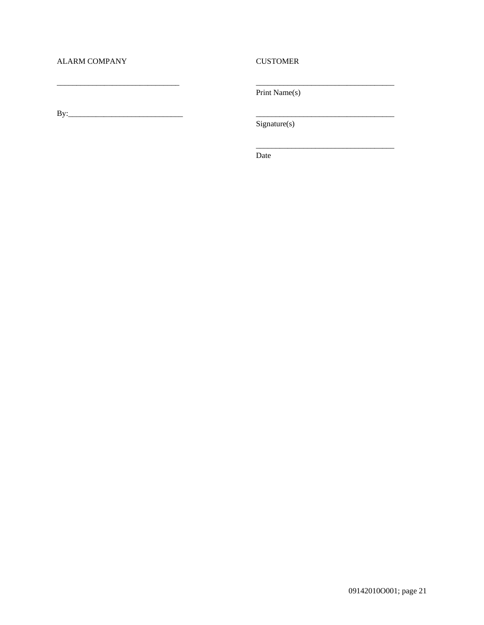#### **ALARM COMPANY**

#### **CUSTOMER**

Print Name(s)

Signature(s)

Date